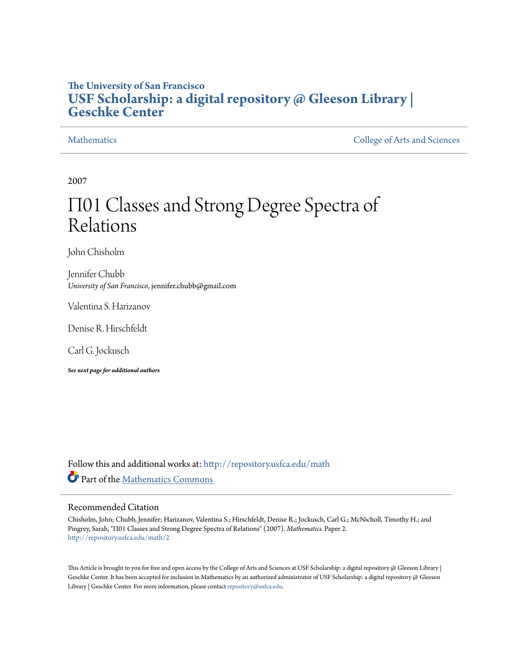# **The University of San Francisco [USF Scholarship: a digital repository @ Gleeson Library |](http://repository.usfca.edu?utm_source=repository.usfca.edu%2Fmath%2F2&utm_medium=PDF&utm_campaign=PDFCoverPages) [Geschke Center](http://repository.usfca.edu?utm_source=repository.usfca.edu%2Fmath%2F2&utm_medium=PDF&utm_campaign=PDFCoverPages)**

[Mathematics](http://repository.usfca.edu/math?utm_source=repository.usfca.edu%2Fmath%2F2&utm_medium=PDF&utm_campaign=PDFCoverPages) [College of Arts and Sciences](http://repository.usfca.edu/artsci?utm_source=repository.usfca.edu%2Fmath%2F2&utm_medium=PDF&utm_campaign=PDFCoverPages)

2007

# Π01 Classes and Strong Degree Spectra of Relations

John Chisholm

Jennifer Chubb *University of San Francisco*, jennifer.chubb@gmail.com

Valentina S. Harizanov

Denise R. Hirschfeldt

Carl G. Jockusch

*See next page for additional authors*

Follow this and additional works at: [http://repository.usfca.edu/math](http://repository.usfca.edu/math?utm_source=repository.usfca.edu%2Fmath%2F2&utm_medium=PDF&utm_campaign=PDFCoverPages) Part of the [Mathematics Commons](http://network.bepress.com/hgg/discipline/174?utm_source=repository.usfca.edu%2Fmath%2F2&utm_medium=PDF&utm_campaign=PDFCoverPages)

#### Recommended Citation

Chisholm, John; Chubb, Jennifer; Harizanov, Valentina S.; Hirschfeldt, Denise R.; Jockusch, Carl G.; McNicholl, Timothy H.; and Pingrey, Sarah, "Π01 Classes and Strong Degree Spectra of Relations" (2007). *Mathematics.* Paper 2. [http://repository.usfca.edu/math/2](http://repository.usfca.edu/math/2?utm_source=repository.usfca.edu%2Fmath%2F2&utm_medium=PDF&utm_campaign=PDFCoverPages)

This Article is brought to you for free and open access by the College of Arts and Sciences at USF Scholarship: a digital repository @ Gleeson Library | Geschke Center. It has been accepted for inclusion in Mathematics by an authorized administrator of USF Scholarship: a digital repository @ Gleeson Library | Geschke Center. For more information, please contact [repository@usfca.edu.](mailto:repository@usfca.edu)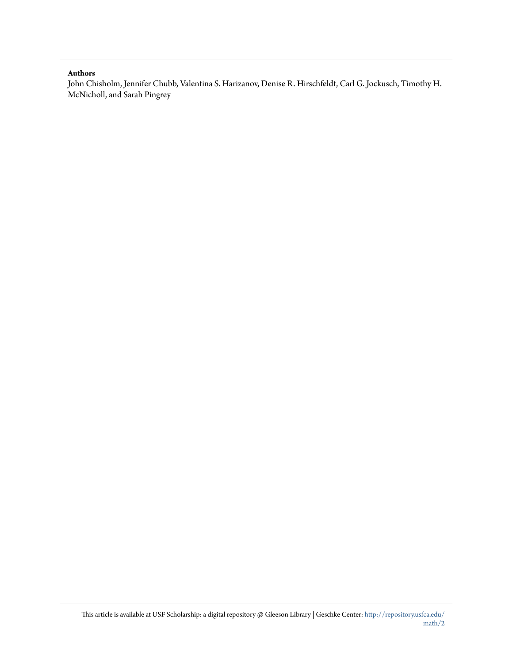#### **Authors**

John Chisholm, Jennifer Chubb, Valentina S. Harizanov, Denise R. Hirschfeldt, Carl G. Jockusch, Timothy H. McNicholl, and Sarah Pingrey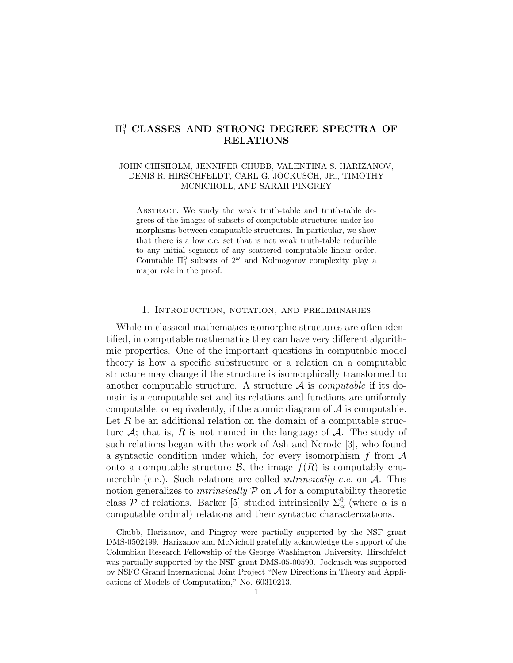## $\Pi^0_1$  CLASSES AND STRONG DEGREE SPECTRA OF RELATIONS

#### JOHN CHISHOLM, JENNIFER CHUBB, VALENTINA S. HARIZANOV, DENIS R. HIRSCHFELDT, CARL G. JOCKUSCH, JR., TIMOTHY MCNICHOLL, AND SARAH PINGREY

ABSTRACT. We study the weak truth-table and truth-table degrees of the images of subsets of computable structures under isomorphisms between computable structures. In particular, we show that there is a low c.e. set that is not weak truth-table reducible to any initial segment of any scattered computable linear order. Countable  $\Pi_1^0$  subsets of  $2^{\omega}$  and Kolmogorov complexity play a major role in the proof.

#### 1. Introduction, notation, and preliminaries

While in classical mathematics isomorphic structures are often identified, in computable mathematics they can have very different algorithmic properties. One of the important questions in computable model theory is how a specific substructure or a relation on a computable structure may change if the structure is isomorphically transformed to another computable structure. A structure  $A$  is *computable* if its domain is a computable set and its relations and functions are uniformly computable; or equivalently, if the atomic diagram of  $A$  is computable. Let  $R$  be an additional relation on the domain of a computable structure  $A$ ; that is, R is not named in the language of  $A$ . The study of such relations began with the work of Ash and Nerode [3], who found a syntactic condition under which, for every isomorphism f from  $A$ onto a computable structure  $\mathcal{B}$ , the image  $f(R)$  is computably enumerable (c.e.). Such relations are called *intrinsically c.e.* on  $A$ . This notion generalizes to *intrinsically*  $P$  on  $\mathcal A$  for a computability theoretic class  $P$  of relations. Barker [5] studied intrinsically  $\Sigma^0_\alpha$  (where  $\alpha$  is a computable ordinal) relations and their syntactic characterizations.

Chubb, Harizanov, and Pingrey were partially supported by the NSF grant DMS-0502499. Harizanov and McNicholl gratefully acknowledge the support of the Columbian Research Fellowship of the George Washington University. Hirschfeldt was partially supported by the NSF grant DMS-05-00590. Jockusch was supported by NSFC Grand International Joint Project "New Directions in Theory and Applications of Models of Computation," No. 60310213.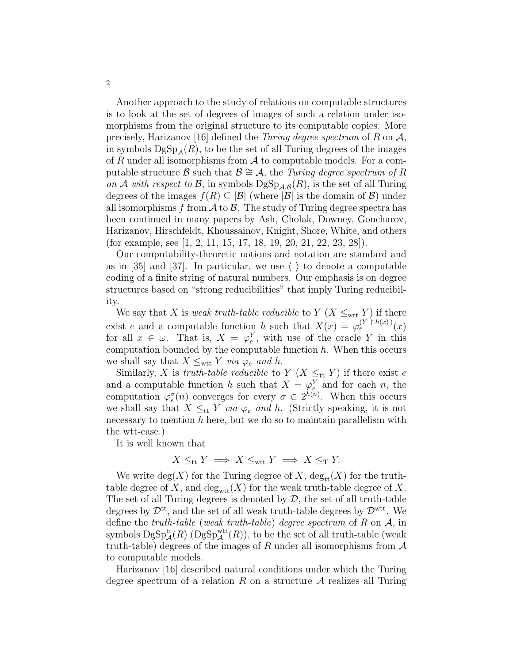Another approach to the study of relations on computable structures is to look at the set of degrees of images of such a relation under isomorphisms from the original structure to its computable copies. More precisely, Harizanov [16] defined the Turing degree spectrum of R on  $\mathcal{A}$ , in symbols  $\text{DgSp}_4(R)$ , to be the set of all Turing degrees of the images of R under all isomorphisms from  $A$  to computable models. For a computable structure B such that  $\mathcal{B} \cong \mathcal{A}$ , the Turing degree spectrum of R on A with respect to B, in symbols  $\mathrm{DgSp}_{\mathcal{A},\mathcal{B}}(R)$ , is the set of all Turing degrees of the images  $f(R) \subset |\mathcal{B}|$  (where  $|\mathcal{B}|$  is the domain of  $\mathcal{B}$ ) under all isomorphisms f from  $A$  to  $B$ . The study of Turing degree spectra has been continued in many papers by Ash, Cholak, Downey, Goncharov, Harizanov, Hirschfeldt, Khoussainov, Knight, Shore, White, and others (for example, see [1, 2, 11, 15, 17, 18, 19, 20, 21, 22, 23, 28]).

Our computability-theoretic notions and notation are standard and as in [35] and [37]. In particular, we use  $\langle \rangle$  to denote a computable coding of a finite string of natural numbers. Our emphasis is on degree structures based on "strong reducibilities" that imply Turing reducibility.

We say that X is weak truth-table reducible to Y (X  $\leq_{\text{wtt}}$  Y) if there exist e and a computable function h such that  $X(x) = \varphi_e^{(Y \upharpoonright h(x))}(x)$ for all  $x \in \omega$ . That is,  $X = \varphi_e^Y$ , with use of the oracle Y in this computation bounded by the computable function  $h$ . When this occurs we shall say that  $X \leq_{\text{wtt}} Y$  via  $\varphi_e$  and h.

Similarly, X is truth-table reducible to Y (X  $\leq_{tt}$  Y) if there exist e and a computable function h such that  $X = \varphi_e^Y$  and for each n, the computation  $\varphi_e^{\sigma}(n)$  converges for every  $\sigma \in 2^{h(n)}$ . When this occurs we shall say that  $X \leq_{tt} Y$  via  $\varphi_e$  and h. (Strictly speaking, it is not necessary to mention  $h$  here, but we do so to maintain parallelism with the wtt-case.)

It is well known that

$$
X \leq_{\text{tt}} Y \implies X \leq_{\text{wtt}} Y \implies X \leq_{\text{T}} Y.
$$

We write  $deg(X)$  for the Turing degree of X,  $deg_{tt}(X)$  for the truthtable degree of X, and  $\deg_{\text{wtt}}(X)$  for the weak truth-table degree of X. The set of all Turing degrees is denoted by  $D$ , the set of all truth-table degrees by  $\mathcal{D}^{tt}$ , and the set of all weak truth-table degrees by  $\mathcal{D}^{wtt}$ . We define the *truth-table* (weak *truth-table*) degree spectrum of  $R$  on  $A$ , in symbols  $\mathrm{DgSp}^{\mathrm{tt}}_\mathcal{A}(R)$  ( $\mathrm{DgSp}^{\mathrm{wtt}}_\mathcal{A}(R)$ ), to be the set of all truth-table (weak truth-table) degrees of the images of R under all isomorphisms from  $A$ to computable models.

Harizanov [16] described natural conditions under which the Turing degree spectrum of a relation R on a structure  $A$  realizes all Turing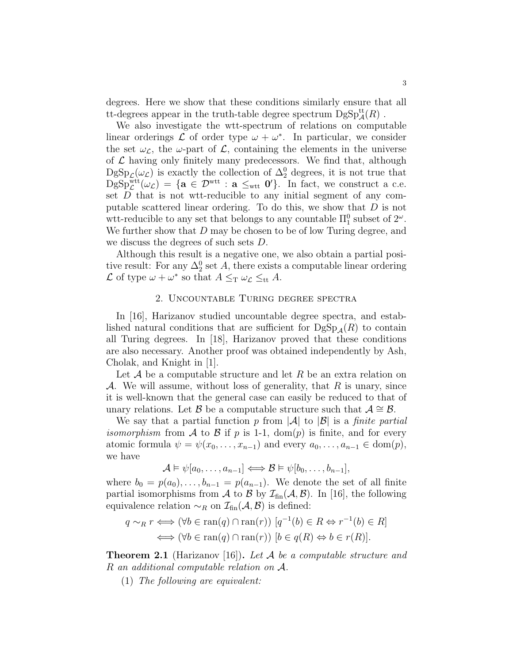degrees. Here we show that these conditions similarly ensure that all tt-degrees appear in the truth-table degree spectrum  $\mathrm{DgSp}_{\mathcal{A}}^{\mathrm{tt}}(R)$  .

We also investigate the wtt-spectrum of relations on computable linear orderings  $\mathcal L$  of order type  $\omega + \omega^*$ . In particular, we consider the set  $\omega_{\mathcal{L}}$ , the  $\omega$ -part of  $\mathcal{L}$ , containing the elements in the universe of  $\mathcal L$  having only finitely many predecessors. We find that, although  $\text{DgSp}_{\mathcal{L}}(\omega_{\mathcal{L}})$  is exactly the collection of  $\Delta_2^0$  degrees, it is not true that  $\mathrm{DgSp}_{\mathcal{L}}^{\mathrm{wtt}}(\omega_{\mathcal{L}}) = \{ \mathbf{a} \in \mathcal{D}^{\mathrm{wtt}} : \mathbf{a} \leq_{\mathrm{wtt}} \mathbf{0}' \}.$  In fact, we construct a c.e. set  $D$  that is not wtt-reducible to any initial segment of any computable scattered linear ordering. To do this, we show that  $D$  is not wtt-reducible to any set that belongs to any countable  $\Pi_1^0$  subset of  $2^\omega$ . We further show that D may be chosen to be of low Turing degree, and we discuss the degrees of such sets D.

Although this result is a negative one, we also obtain a partial positive result: For any  $\Delta_2^0$  set A, there exists a computable linear ordering  $\mathcal L$  of type  $\omega + \omega^*$  so that  $A \leq_T \omega_{\mathcal L} \leq_{\text{tt}} A$ .

#### 2. Uncountable Turing degree spectra

In [16], Harizanov studied uncountable degree spectra, and established natural conditions that are sufficient for  $DgSp_{4}(R)$  to contain all Turing degrees. In [18], Harizanov proved that these conditions are also necessary. Another proof was obtained independently by Ash, Cholak, and Knight in [1].

Let  $\mathcal A$  be a computable structure and let R be an extra relation on A. We will assume, without loss of generality, that  $R$  is unary, since it is well-known that the general case can easily be reduced to that of unary relations. Let B be a computable structure such that  $\mathcal{A} \cong \mathcal{B}$ .

We say that a partial function p from  $|\mathcal{A}|$  to  $|\mathcal{B}|$  is a *finite partial isomorphism* from A to B if p is 1-1,  $dom(p)$  is finite, and for every atomic formula  $\psi = \psi(x_0, \ldots, x_{n-1})$  and every  $a_0, \ldots, a_{n-1} \in \text{dom}(p)$ , we have

$$
\mathcal{A} \models \psi[a_0, \ldots, a_{n-1}] \Longleftrightarrow \mathcal{B} \models \psi[b_0, \ldots, b_{n-1}],
$$

where  $b_0 = p(a_0), \ldots, b_{n-1} = p(a_{n-1})$ . We denote the set of all finite partial isomorphisms from A to B by  $\mathcal{I}_{fin}(\mathcal{A}, \mathcal{B})$ . In [16], the following equivalence relation  $\sim_R$  on  $\mathcal{I}_{fin}(\mathcal{A}, \mathcal{B})$  is defined:

$$
q \sim_R r \iff (\forall b \in \text{ran}(q) \cap \text{ran}(r)) \ [q^{-1}(b) \in R \Leftrightarrow r^{-1}(b) \in R]
$$

$$
\iff (\forall b \in \text{ran}(q) \cap \text{ran}(r)) \ [b \in q(R) \Leftrightarrow b \in r(R)].
$$

**Theorem 2.1** (Harizanov [16]). Let A be a computable structure and R an additional computable relation on A.

(1) The following are equivalent: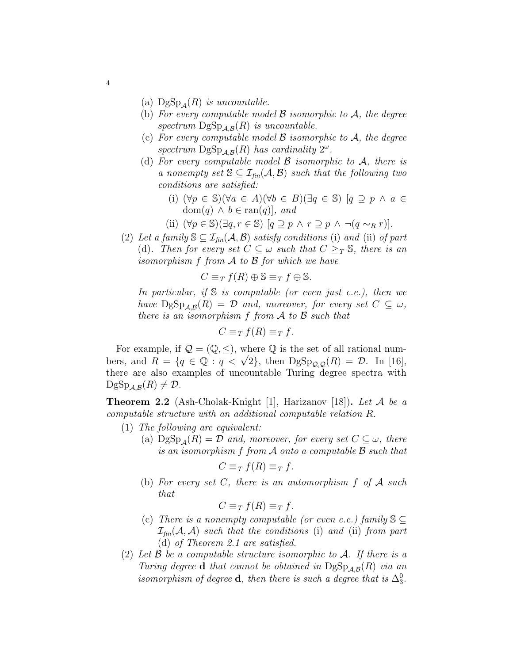- (a)  $\text{DgSp}_A(R)$  is uncountable.
- (b) For every computable model  $\beta$  isomorphic to  $\mathcal{A}$ , the degree spectrum  $\mathrm{DgSp}_{\mathcal{A},\mathcal{B}}(R)$  is uncountable.
- (c) For every computable model  $\beta$  isomorphic to  $\mathcal{A}$ , the degree spectrum  $\mathrm{DgSp}_{\mathcal{A},\mathcal{B}}(R)$  has cardinality  $2^\omega$ .
- (d) For every computable model  $\beta$  isomorphic to  $\mathcal{A}$ , there is a nonempty set  $\mathbb{S} \subseteq \mathcal{I}_{fin}(\mathcal{A}, \mathcal{B})$  such that the following two conditions are satisfied:
	- (i)  $(\forall p \in \mathbb{S})(\forall a \in A)(\forall b \in B)(\exists q \in \mathbb{S})$   $[q \supseteq p \land a \in \mathbb{S}]$ dom $(q) \wedge b \in \text{ran}(q)$ , and
	- (ii)  $(\forall p \in \mathbb{S})(\exists q, r \in \mathbb{S}) [q \supseteq p \land r \supseteq p \land \neg(q \sim_R r)].$
- (2) Let a family  $\mathcal{S} \subseteq \mathcal{I}_{\text{fin}}(\mathcal{A}, \mathcal{B})$  satisfy conditions (i) and (ii) of part (d). Then for every set  $C \subseteq \omega$  such that  $C \geq_T \mathbb{S}$ , there is an isomorphism  $f$  from  $A$  to  $B$  for which we have

$$
C \equiv_T f(R) \oplus \mathbb{S} \equiv_T f \oplus \mathbb{S}.
$$

In particular, if  $\mathbb S$  is computable (or even just c.e.), then we have  $\mathrm{DgSp}_{\mathcal{A},\mathcal{B}}(R) = \mathcal{D}$  and, moreover, for every set  $C \subseteq \omega$ , there is an isomorphism  $f$  from  $A$  to  $B$  such that

$$
C \equiv_T f(R) \equiv_T f.
$$

For example, if  $\mathcal{Q} = (\mathbb{Q}, \leq)$ , where  $\mathbb Q$  is the set of all rational num-For example, if  $\mathcal{Q} = (\mathcal{Q}, \leq)$ , where  $\mathcal Q$  is the set of all rational numbers, and  $R = \{q \in \mathbb{Q} : q < \sqrt{2}\}$ , then  $\text{DgSp}_{\mathcal{Q},\mathcal{Q}}(R) = \mathcal{D}$ . In [16], there are also examples of uncountable Turing degree spectra with  $\mathrm{DgSp}_{\mathcal{A},\mathcal{B}}(R)\neq \mathcal{D}.$ 

**Theorem 2.2** (Ash-Cholak-Knight [1], Harizanov [18]). Let A be a computable structure with an additional computable relation R.

- (1) The following are equivalent:
	- (a)  $\text{DgSp}_A(R) = \mathcal{D}$  and, moreover, for every set  $C \subseteq \omega$ , there is an isomorphism  $f$  from  $A$  onto a computable  $B$  such that

$$
C \equiv_T f(R) \equiv_T f.
$$

(b) For every set C, there is an automorphism  $f$  of  $A$  such that

 $C \equiv_T f(R) \equiv_T f$ .

- (c) There is a nonempty computable (or even c.e.) family  $\mathcal{S} \subset$  $\mathcal{I}_{\text{fin}}(\mathcal{A}, \mathcal{A})$  such that the conditions (i) and (ii) from part (d) of Theorem 2.1 are satisfied.
- (2) Let  $\beta$  be a computable structure isomorphic to  $\mathcal{A}$ . If there is a Turing degree **d** that cannot be obtained in  $\text{DgSp}_{\mathcal{A},\mathcal{B}}(R)$  via an isomorphism of degree **d**, then there is such a degree that is  $\Delta_3^0$ .

4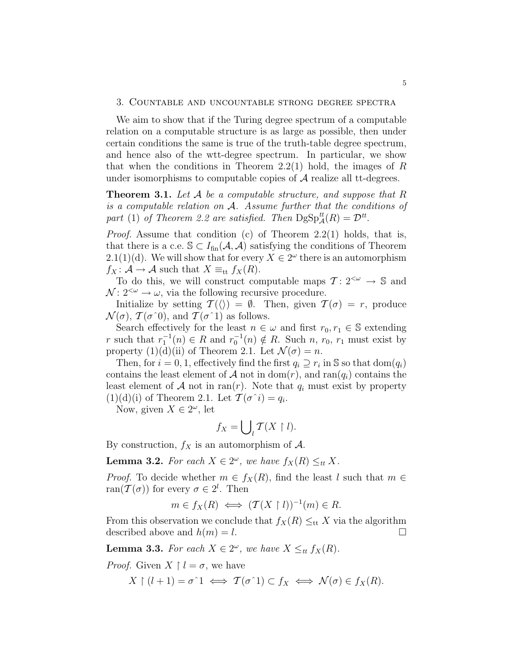#### 3. Countable and uncountable strong degree spectra

We aim to show that if the Turing degree spectrum of a computable relation on a computable structure is as large as possible, then under certain conditions the same is true of the truth-table degree spectrum, and hence also of the wtt-degree spectrum. In particular, we show that when the conditions in Theorem 2.2(1) hold, the images of  $R$ under isomorphisms to computable copies of  $A$  realize all tt-degrees.

**Theorem 3.1.** Let  $A$  be a computable structure, and suppose that  $R$ is a computable relation on A. Assume further that the conditions of part (1) of Theorem 2.2 are satisfied. Then  $\text{DgSp}_{\mathcal{A}}^{tt}(R) = \mathcal{D}^{tt}$ .

Proof. Assume that condition (c) of Theorem 2.2(1) holds, that is, that there is a c.e.  $\mathcal{S} \subset I_{fin}(\mathcal{A}, \mathcal{A})$  satisfying the conditions of Theorem 2.1(1)(d). We will show that for every  $X \in 2^{\omega}$  there is an automorphism  $f_X: \mathcal{A} \to \mathcal{A}$  such that  $X \equiv_{\text{tt}} f_X(R)$ .

To do this, we will construct computable maps  $\mathcal{T} : 2^{<\omega} \to \mathbb{S}$  and  $\mathcal{N}: 2^{&\omega} \rightarrow \omega$ , via the following recursive procedure.

Initialize by setting  $\mathcal{T}(\langle \rangle) = \emptyset$ . Then, given  $\mathcal{T}(\sigma) = r$ , produce  $\mathcal{N}(\sigma)$ ,  $\mathcal{T}(\sigma^0)$ , and  $\mathcal{T}(\sigma^1)$  as follows.

Search effectively for the least  $n \in \omega$  and first  $r_0, r_1 \in \mathbb{S}$  extending r such that  $r_1^{-1}(n) \in R$  and  $r_0^{-1}(n) \notin R$ . Such  $n, r_0, r_1$  must exist by property  $(1)(d)(ii)$  of Theorem 2.1. Let  $\mathcal{N}(\sigma) = n$ .

Then, for  $i = 0, 1$ , effectively find the first  $q_i \supseteq r_i$  in S so that  $dom(q_i)$ contains the least element of A not in dom(r), and ran( $q_i$ ) contains the least element of A not in ran(r). Note that  $q_i$  must exist by property  $(1)(d)(i)$  of Theorem 2.1. Let  $\mathcal{T}(\sigma \hat{i}) = q_i$ .

Now, given  $X \in 2^\omega$ , let

$$
f_X = \bigcup_l \mathcal{T}(X \restriction l).
$$

By construction,  $f_X$  is an automorphism of  $\mathcal{A}$ .

**Lemma 3.2.** For each  $X \in 2^{\omega}$ , we have  $f_X(R) \leq_{tt} X$ .

*Proof.* To decide whether  $m \in f_X(R)$ , find the least l such that  $m \in$ ran $(\mathcal{T}(\sigma))$  for every  $\sigma \in 2^l$ . Then

$$
m \in f_X(R) \iff (\mathcal{T}(X \restriction l))^{-1}(m) \in R.
$$

From this observation we conclude that  $f_X(R) \leq_{\text{tt}} X$  via the algorithm described above and  $h(m) = l$ .

**Lemma 3.3.** For each  $X \in 2^{\omega}$ , we have  $X \leq_{tt} f_X(R)$ .

*Proof.* Given  $X \restriction l = \sigma$ , we have

$$
X \upharpoonright (l+1) = \sigma \upharpoonright 1 \iff \mathcal{T}(\sigma \upharpoonright 1) \subset f_X \iff \mathcal{N}(\sigma) \in f_X(R).
$$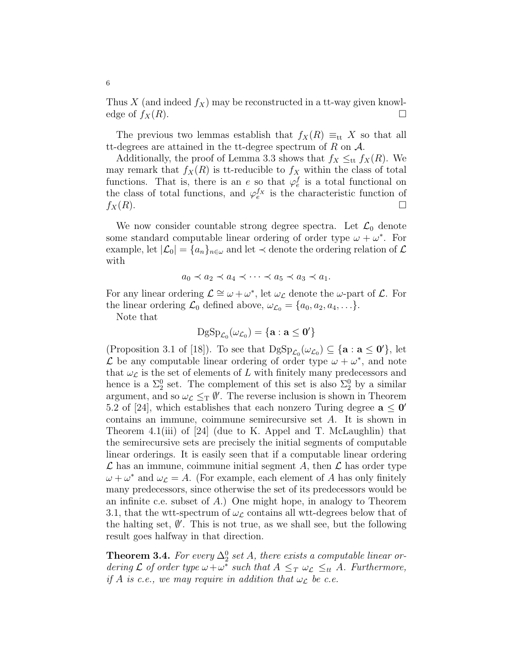Thus X (and indeed  $f_X$ ) may be reconstructed in a tt-way given knowledge of  $f_X(R)$ .

The previous two lemmas establish that  $f_X(R) \equiv_{\text{tt}} X$  so that all tt-degrees are attained in the tt-degree spectrum of  $R$  on  $A$ .

Additionally, the proof of Lemma 3.3 shows that  $f_X \leq_{\text{tt}} f_X(R)$ . We may remark that  $f_X(R)$  is tt-reducible to  $f_X$  within the class of total functions. That is, there is an e so that  $\varphi_e^f$  is a total functional on the class of total functions, and  $\varphi_e^{f_X}$  is the characteristic function of  $f_X(R)$ .

We now consider countable strong degree spectra. Let  $\mathcal{L}_0$  denote some standard computable linear ordering of order type  $\omega + \omega^*$ . For example, let  $|\mathcal{L}_0| = \{a_n\}_{n \in \omega}$  and let  $\prec$  denote the ordering relation of  $\mathcal{L}$ with

$$
a_0 \prec a_2 \prec a_4 \prec \cdots \prec a_5 \prec a_3 \prec a_1.
$$

For any linear ordering  $\mathcal{L} \cong \omega + \omega^*$ , let  $\omega_{\mathcal{L}}$  denote the  $\omega$ -part of  $\mathcal{L}$ . For the linear ordering  $\mathcal{L}_0$  defined above,  $\omega_{\mathcal{L}_0} = \{a_0, a_2, a_4, \ldots\}.$ 

Note that

$$
\mathrm{DgSp}_{\mathcal{L}_0}(\omega_{\mathcal{L}_0})=\{\mathbf{a}:\mathbf{a}\leq \mathbf{0}'\}
$$

(Proposition 3.1 of [18]). To see that  $\mathrm{DgSp}_{\mathcal{L}_0}(\omega_{\mathcal{L}_0}) \subseteq {\{a : a \le 0'\}}$ , let L be any computable linear ordering of order type  $\omega + \omega^*$ , and note that  $\omega_{\mathcal{L}}$  is the set of elements of L with finitely many predecessors and hence is a  $\Sigma_2^0$  set. The complement of this set is also  $\Sigma_2^0$  by a similar argument, and so  $\omega_{\mathcal{L}} \leq_T \emptyset'$ . The reverse inclusion is shown in Theorem 5.2 of [24], which establishes that each nonzero Turing degree  $a \le 0'$ contains an immune, coimmune semirecursive set A. It is shown in Theorem 4.1(iii) of [24] (due to K. Appel and T. McLaughlin) that the semirecursive sets are precisely the initial segments of computable linear orderings. It is easily seen that if a computable linear ordering  $\mathcal L$  has an immune, coimmune initial segment A, then  $\mathcal L$  has order type  $\omega + \omega^*$  and  $\omega_{\mathcal{L}} = A$ . (For example, each element of A has only finitely many predecessors, since otherwise the set of its predecessors would be an infinite c.e. subset of A.) One might hope, in analogy to Theorem 3.1, that the wtt-spectrum of  $\omega_{\mathcal{L}}$  contains all wtt-degrees below that of the halting set,  $\emptyset'$ . This is not true, as we shall see, but the following result goes halfway in that direction.

**Theorem 3.4.** For every  $\Delta_2^0$  set A, there exists a computable linear ordering  $\mathcal L$  of order type  $\omega + \omega^*$  such that  $A \leq_T \omega_{\mathcal L} \leq_{tt} A$ . Furthermore, if A is c.e., we may require in addition that  $\omega_{\mathcal{L}}$  be c.e.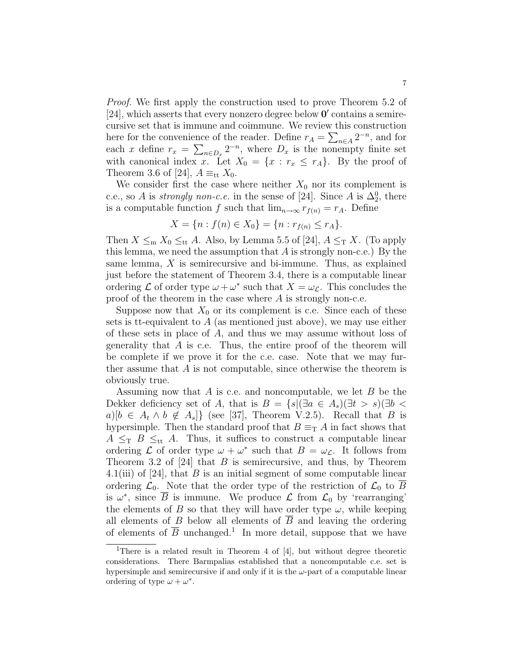Proof. We first apply the construction used to prove Theorem 5.2 of [24], which asserts that every nonzero degree below  $\mathbf{0}'$  contains a semirecursive set that is immune and coimmune. We review this construction here for the convenience of the reader. Define  $r_A = \sum_{n \in A} 2^{-n}$ , and for each x define  $r_x = \sum_{n \in D_x} 2^{-n}$ , where  $D_x$  is the nonempty finite set with canonical index x. Let  $X_0 = \{x : r_x \le r_A\}$ . By the proof of Theorem 3.6 of [24],  $A \equiv_{\text{tt}} X_0$ .

We consider first the case where neither  $X_0$  nor its complement is c.e., so A is *strongly non-c.e.* in the sense of [24]. Since A is  $\Delta_2^0$ , there is a computable function f such that  $\lim_{n\to\infty} r_{f(n)} = r_A$ . Define

$$
X = \{ n : f(n) \in X_0 \} = \{ n : r_{f(n)} \le r_A \}.
$$

Then  $X \leq_m X_0 \leq_{tt} A$ . Also, by Lemma 5.5 of [24],  $A \leq_T X$ . (To apply this lemma, we need the assumption that  $A$  is strongly non-c.e.) By the same lemma, X is semirecursive and bi-immune. Thus, as explained just before the statement of Theorem 3.4, there is a computable linear ordering  $\mathcal L$  of order type  $\omega + \omega^*$  such that  $X = \omega_{\mathcal L}$ . This concludes the proof of the theorem in the case where  $A$  is strongly non-c.e.

Suppose now that  $X_0$  or its complement is c.e. Since each of these sets is tt-equivalent to  $A$  (as mentioned just above), we may use either of these sets in place of A, and thus we may assume without loss of generality that  $A$  is c.e. Thus, the entire proof of the theorem will be complete if we prove it for the c.e. case. Note that we may further assume that A is not computable, since otherwise the theorem is obviously true.

Assuming now that  $A$  is c.e. and noncomputable, we let  $B$  be the Dekker deficiency set of A, that is  $B = \{s | (\exists a \in A_s)(\exists t > s)(\exists b <$  $a)[b \in A_t \wedge b \notin A_s]$  (see [37], Theorem V.2.5). Recall that B is hypersimple. Then the standard proof that  $B \equiv_{\rm T} A$  in fact shows that  $A \leq_{\text{T}} B \leq_{\text{tt}} A$ . Thus, it suffices to construct a computable linear ordering  $\mathcal L$  of order type  $\omega + \omega^*$  such that  $B = \omega_{\mathcal L}$ . It follows from Theorem 3.2 of [24] that  $B$  is semirecursive, and thus, by Theorem 4.1(iii) of [24], that  $B$  is an initial segment of some computable linear ordering  $\mathcal{L}_0$ . Note that the order type of the restriction of  $\mathcal{L}_0$  to  $\overline{B}$ is  $\omega^*$ , since  $\overline{B}$  is immune. We produce  $\mathcal L$  from  $\mathcal L_0$  by 'rearranging' the elements of B so that they will have order type  $\omega$ , while keeping all elements of B below all elements of  $\overline{B}$  and leaving the ordering of elements of  $\overline{B}$  unchanged.<sup>1</sup> In more detail, suppose that we have

<sup>&</sup>lt;sup>1</sup>There is a related result in Theorem 4 of [4], but without degree theoretic considerations. There Barmpalias established that a noncomputable c.e. set is hypersimple and semirecursive if and only if it is the  $\omega$ -part of a computable linear ordering of type  $\omega + \omega^*$ .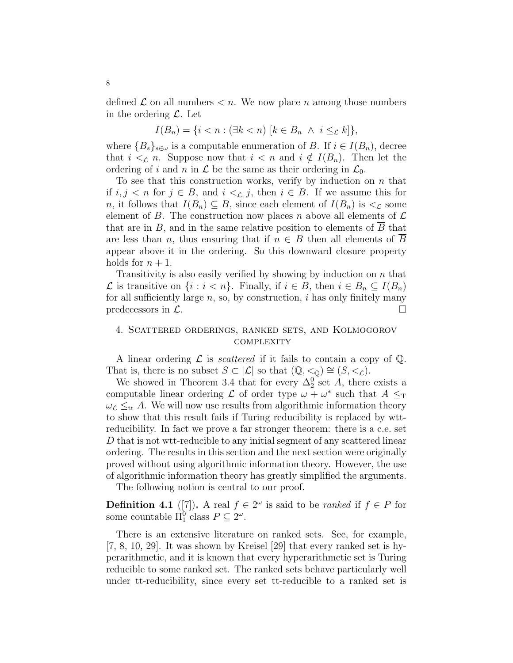defined  $\mathcal L$  on all numbers  $\lt n$ . We now place n among those numbers in the ordering  $\mathcal{L}$ . Let

$$
I(B_n) = \{i < n : (\exists k < n) \ [k \in B_n \ \land \ i \leq_{\mathcal{L}} k] \},
$$

where  ${B_s}_{s\in\omega}$  is a computable enumeration of B. If  $i \in I(B_n)$ , decree that  $i \leq_{\mathcal{L}} n$ . Suppose now that  $i \leq n$  and  $i \notin I(B_n)$ . Then let the ordering of i and n in  $\mathcal L$  be the same as their ordering in  $\mathcal L_0$ .

To see that this construction works, verify by induction on  $n$  that if  $i, j < n$  for  $j \in B$ , and  $i < \mathcal{L}$  j, then  $i \in B$ . If we assume this for n, it follows that  $I(B_n) \subseteq B$ , since each element of  $I(B_n)$  is  $\lt_L$  some element of B. The construction now places n above all elements of  $\mathcal L$ that are in  $B$ , and in the same relative position to elements of  $B$  that are less than n, thus ensuring that if  $n \in B$  then all elements of  $\overline{B}$ appear above it in the ordering. So this downward closure property holds for  $n + 1$ .

Transitivity is also easily verified by showing by induction on  $n$  that  $\mathcal L$  is transitive on {*i* : *i* < *n*}. Finally, if *i* ∈ *B*, then *i* ∈ *B<sub>n</sub>* ⊆ *I*(*B<sub>n</sub>*) for all sufficiently large  $n$ , so, by construction,  $i$  has only finitely many predecessors in  $\mathcal{L}$ .

#### 4. Scattered orderings, ranked sets, and Kolmogorov **COMPLEXITY**

A linear ordering  $\mathcal L$  is *scattered* if it fails to contain a copy of  $\mathbb Q$ . That is, there is no subset  $S \subset |\mathcal{L}|$  so that  $(\mathbb{Q}, \leq_{\mathbb{Q}}) \cong (S, \leq_{\mathcal{L}})$ .

We showed in Theorem 3.4 that for every  $\Delta_2^0$  set A, there exists a computable linear ordering  $\mathcal L$  of order type  $\omega + \omega^*$  such that  $A \leq_T$  $\omega_{\mathcal{L}} \leq_{\text{tt}} A$ . We will now use results from algorithmic information theory to show that this result fails if Turing reducibility is replaced by wttreducibility. In fact we prove a far stronger theorem: there is a c.e. set D that is not wtt-reducible to any initial segment of any scattered linear ordering. The results in this section and the next section were originally proved without using algorithmic information theory. However, the use of algorithmic information theory has greatly simplified the arguments.

The following notion is central to our proof.

**Definition 4.1** ([7]). A real  $f \in 2^{\omega}$  is said to be *ranked* if  $f \in P$  for some countable  $\Pi_1^0$  class  $P \subseteq 2^\omega$ .

There is an extensive literature on ranked sets. See, for example, [7, 8, 10, 29]. It was shown by Kreisel [29] that every ranked set is hyperarithmetic, and it is known that every hyperarithmetic set is Turing reducible to some ranked set. The ranked sets behave particularly well under tt-reducibility, since every set tt-reducible to a ranked set is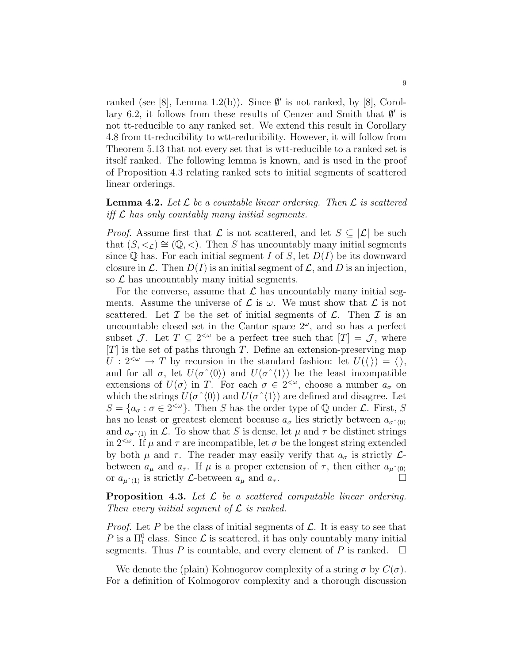ranked (see [8], Lemma 1.2(b)). Since  $\emptyset'$  is not ranked, by [8], Corollary 6.2, it follows from these results of Cenzer and Smith that  $\emptyset'$  is not tt-reducible to any ranked set. We extend this result in Corollary 4.8 from tt-reducibility to wtt-reducibility. However, it will follow from Theorem 5.13 that not every set that is wtt-reducible to a ranked set is itself ranked. The following lemma is known, and is used in the proof of Proposition 4.3 relating ranked sets to initial segments of scattered linear orderings.

### **Lemma 4.2.** Let  $\mathcal{L}$  be a countable linear ordering. Then  $\mathcal{L}$  is scattered iff  $\mathcal L$  has only countably many initial segments.

*Proof.* Assume first that  $\mathcal L$  is not scattered, and let  $S \subseteq |\mathcal L|$  be such that  $(S, \leq_{\mathcal{L}}) \cong (\mathbb{Q}, \leq)$ . Then S has uncountably many initial segments since  $\mathbb Q$  has. For each initial segment I of S, let  $D(I)$  be its downward closure in  $\mathcal L$ . Then  $D(I)$  is an initial segment of  $\mathcal L$ , and D is an injection, so  $\mathcal L$  has uncountably many initial segments.

For the converse, assume that  $\mathcal L$  has uncountably many initial segments. Assume the universe of  $\mathcal L$  is  $\omega$ . We must show that  $\mathcal L$  is not scattered. Let  $\mathcal I$  be the set of initial segments of  $\mathcal L$ . Then  $\mathcal I$  is an uncountable closed set in the Cantor space  $2^\omega$ , and so has a perfect subset J. Let  $T \subseteq 2^{\lt^ \omega}$  be a perfect tree such that  $[T] = \mathcal{J}$ , where  $[T]$  is the set of paths through T. Define an extension-preserving map  $U: 2^{<\omega} \to T$  by recursion in the standard fashion: let  $U(\langle \rangle) = \langle \rangle$ , and for all  $\sigma$ , let  $U(\sigma \hat{\;} \langle 0 \rangle)$  and  $U(\sigma \hat{\;} \langle 1 \rangle)$  be the least incompatible extensions of  $U(\sigma)$  in T. For each  $\sigma \in 2^{<\omega}$ , choose a number  $a_{\sigma}$  on which the strings  $U(\sigma^{\hat{ }}(0))$  and  $U(\sigma^{\hat{ }}(1))$  are defined and disagree. Let  $S = \{a_{\sigma} : \sigma \in 2^{\leq \omega}\}\.$  Then S has the order type of Q under L. First, S has no least or greatest element because  $a_{\sigma}$  lies strictly between  $a_{\sigma^{\hat{}}(0)}$ and  $a_{\sigma^{\wedge}(1)}$  in  $\mathcal{L}$ . To show that S is dense, let  $\mu$  and  $\tau$  be distinct strings in  $2^{&\omega}$ . If  $\mu$  and  $\tau$  are incompatible, let  $\sigma$  be the longest string extended by both  $\mu$  and  $\tau$ . The reader may easily verify that  $a_{\sigma}$  is strictly  $\mathcal{L}$ between  $a_{\mu}$  and  $a_{\tau}$ . If  $\mu$  is a proper extension of  $\tau$ , then either  $a_{\mu}^{\ }_{\ 0\rangle}$ or  $a_{\mu\uparrow(1)}$  is strictly  $\mathcal L$ -between  $a_{\mu}$  and  $a_{\tau}$ .

**Proposition 4.3.** Let  $\mathcal{L}$  be a scattered computable linear ordering. Then every initial segment of  $\mathcal L$  is ranked.

*Proof.* Let P be the class of initial segments of  $\mathcal{L}$ . It is easy to see that P is a  $\Pi_1^0$  class. Since  $\mathcal L$  is scattered, it has only countably many initial segments. Thus P is countable, and every element of P is ranked.  $\square$ 

We denote the (plain) Kolmogorov complexity of a string  $\sigma$  by  $C(\sigma)$ . For a definition of Kolmogorov complexity and a thorough discussion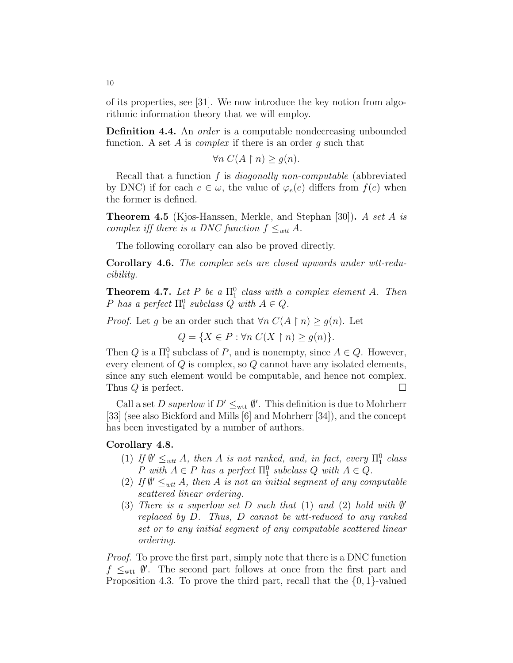of its properties, see [31]. We now introduce the key notion from algorithmic information theory that we will employ.

**Definition 4.4.** An *order* is a computable nondecreasing unbounded function. A set A is *complex* if there is an order q such that

 $\forall n \ C(A \upharpoonright n) \geq q(n).$ 

Recall that a function  $f$  is *diagonally non-computable* (abbreviated by DNC) if for each  $e \in \omega$ , the value of  $\varphi_e(e)$  differs from  $f(e)$  when the former is defined.

Theorem 4.5 (Kjos-Hanssen, Merkle, and Stephan [30]). A set A is complex iff there is a DNC function  $f \leq_{wtt} A$ .

The following corollary can also be proved directly.

Corollary 4.6. The complex sets are closed upwards under wtt-reducibility.

**Theorem 4.7.** Let P be a  $\Pi_1^0$  class with a complex element A. Then P has a perfect  $\Pi_1^0$  subclass Q with  $A \in Q$ .

*Proof.* Let g be an order such that  $\forall n \ C(A \restriction n) \geq g(n)$ . Let

 $Q = \{X \in P : \forall n \ C(X \restriction n) > q(n)\}.$ 

Then  $Q$  is a  $\Pi_1^0$  subclass of  $P$ , and is nonempty, since  $A \in Q$ . However, every element of  $Q$  is complex, so  $Q$  cannot have any isolated elements, since any such element would be computable, and hence not complex. Thus  $Q$  is perfect.

Call a set D superlow if  $D' \leq_{\text{wtt}} \emptyset'$ . This definition is due to Mohrherr [33] (see also Bickford and Mills [6] and Mohrherr [34]), and the concept has been investigated by a number of authors.

#### Corollary 4.8.

- (1) If  $\emptyset' \leq_{wtt} A$ , then A is not ranked, and, in fact, every  $\Pi_1^0$  class P with  $A \in P$  has a perfect  $\Pi_1^0$  subclass  $Q$  with  $A \in Q$ .
- (2) If  $\emptyset' \leq_{wtt} A$ , then A is not an initial segment of any computable scattered linear ordering.
- (3) There is a superlow set  $D$  such that (1) and (2) hold with  $\emptyset'$ replaced by D. Thus, D cannot be wtt-reduced to any ranked set or to any initial segment of any computable scattered linear ordering.

Proof. To prove the first part, simply note that there is a DNC function  $f \leq_{\text{wtt}} \emptyset'$ . The second part follows at once from the first part and Proposition 4.3. To prove the third part, recall that the {0, 1}-valued

10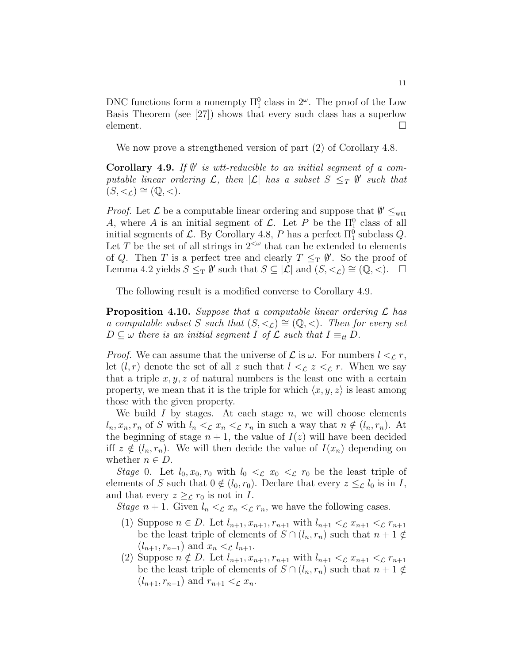DNC functions form a nonempty  $\Pi_1^0$  class in  $2^{\omega}$ . The proof of the Low Basis Theorem (see [27]) shows that every such class has a superlow element.  $\Box$ 

We now prove a strengthened version of part (2) of Corollary 4.8.

Corollary 4.9. If  $\emptyset'$  is wtt-reducible to an initial segment of a computable linear ordering  $\mathcal{L}$ , then  $|\mathcal{L}|$  has a subset  $S \leq_T \emptyset'$  such that  $(S, <_{\mathcal{L}}) \cong (\mathbb{Q}, <).$ 

*Proof.* Let  $\mathcal{L}$  be a computable linear ordering and suppose that  $\emptyset' \leq_{\text{wtt}}$ A, where A is an initial segment of  $\mathcal{L}$ . Let P be the  $\Pi_1^0$  class of all initial segments of  $\mathcal{L}$ . By Corollary 4.8, P has a perfect  $\Pi_1^0$  subclass  $Q$ . Let T be the set of all strings in  $2^{<\omega}$  that can be extended to elements of Q. Then T is a perfect tree and clearly  $T \leq_T \emptyset'$ . So the proof of Lemma 4.2 yields  $S \leq_T \emptyset'$  such that  $S \subseteq |{\mathcal{L}}|$  and  $(S, <_{\mathcal{L}}) \cong ({\mathbb{Q}}, <)$ .  $\Box$ 

The following result is a modified converse to Corollary 4.9.

**Proposition 4.10.** Suppose that a computable linear ordering  $\mathcal{L}$  has a computable subset S such that  $(S, \leq_{\mathcal{L}}) \cong (\mathbb{Q}, \leq)$ . Then for every set  $D \subseteq \omega$  there is an initial segment I of  $\mathcal L$  such that  $I \equiv_{tt} D$ .

*Proof.* We can assume that the universe of  $\mathcal L$  is  $\omega$ . For numbers  $l <_{\mathcal L} r$ , let  $(l, r)$  denote the set of all z such that  $l \leq_{\mathcal{L}} z \leq_{\mathcal{L}} r$ . When we say that a triple  $x, y, z$  of natural numbers is the least one with a certain property, we mean that it is the triple for which  $\langle x, y, z \rangle$  is least among those with the given property.

We build  $I$  by stages. At each stage  $n$ , we will choose elements  $l_n, x_n, r_n$  of S with  $l_n < \mathcal{L}$   $x_n < \mathcal{L}$   $r_n$  in such a way that  $n \notin (l_n, r_n)$ . At the beginning of stage  $n + 1$ , the value of  $I(z)$  will have been decided iff  $z \notin (l_n, r_n)$ . We will then decide the value of  $I(x_n)$  depending on whether  $n \in D$ .

Stage 0. Let  $l_0, x_0, r_0$  with  $l_0 < \mathcal{L}$   $x_0 < \mathcal{L}$   $r_0$  be the least triple of elements of S such that  $0 \notin (l_0, r_0)$ . Declare that every  $z \leq_{\mathcal{L}} l_0$  is in I, and that every  $z \geq_{\mathcal{L}} r_0$  is not in I.

Stage  $n+1$ . Given  $l_n <_{\mathrel{{\mathcal L}}} x_n <_{\mathrel{{\mathcal L}}} r_n$ , we have the following cases.

- (1) Suppose  $n \in D$ . Let  $l_{n+1}, x_{n+1}, r_{n+1}$  with  $l_{n+1} <_{\mathcal{L}} x_{n+1} <_{\mathcal{L}} r_{n+1}$ be the least triple of elements of  $S \cap (l_n, r_n)$  such that  $n + 1 \notin$  $(l_{n+1}, r_{n+1})$  and  $x_n < \mathcal{L} l_{n+1}$ .
- (2) Suppose  $n \notin D$ . Let  $l_{n+1}, x_{n+1}, r_{n+1}$  with  $l_{n+1} <_{\mathcal{L}} x_{n+1} <_{\mathcal{L}} r_{n+1}$ be the least triple of elements of  $S \cap (l_n, r_n)$  such that  $n + 1 \notin$  $(l_{n+1}, r_{n+1})$  and  $r_{n+1} <_{\mathcal{L}} x_n$ .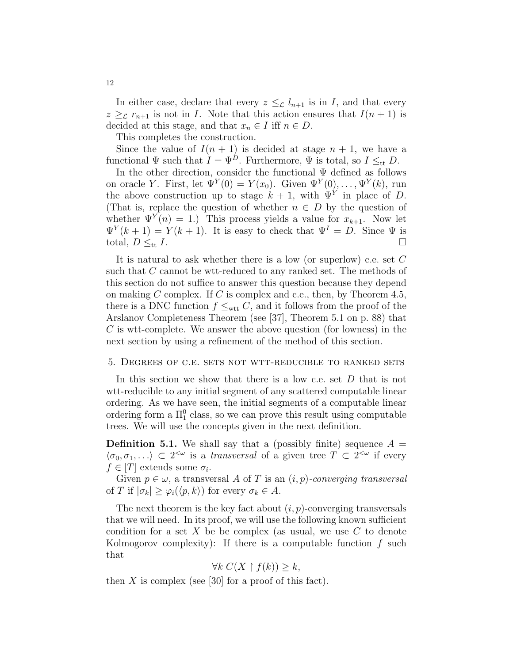In either case, declare that every  $z \leq_{\mathcal{L}} l_{n+1}$  is in I, and that every  $z \geq_{\mathcal{L}} r_{n+1}$  is not in I. Note that this action ensures that  $I(n+1)$  is decided at this stage, and that  $x_n \in I$  iff  $n \in D$ .

This completes the construction.

Since the value of  $I(n + 1)$  is decided at stage  $n + 1$ , we have a functional  $\Psi$  such that  $I = \Psi^D$ . Furthermore,  $\Psi$  is total, so  $I \leq_{tt} D$ .

In the other direction, consider the functional  $\Psi$  defined as follows on oracle Y. First, let  $\Psi^{Y}(0) = Y(x_0)$ . Given  $\Psi^{Y}(0), \ldots, \Psi^{Y}(k)$ , run the above construction up to stage  $k+1$ , with  $\Psi^{Y}$  in place of D. (That is, replace the question of whether  $n \in D$  by the question of whether  $\Psi^{Y}(n) = 1$ .) This process yields a value for  $x_{k+1}$ . Now let  $\Psi^{Y}(k+1) = Y(k+1)$ . It is easy to check that  $\Psi^{I} = D$ . Since  $\Psi$  is total,  $D \leq_{tt} I$ .

It is natural to ask whether there is a low (or superlow) c.e. set C such that C cannot be wtt-reduced to any ranked set. The methods of this section do not suffice to answer this question because they depend on making C complex. If C is complex and c.e., then, by Theorem 4.5, there is a DNC function  $f \leq_{\text{wtt}} C$ , and it follows from the proof of the Arslanov Completeness Theorem (see [37], Theorem 5.1 on p. 88) that C is wtt-complete. We answer the above question (for lowness) in the next section by using a refinement of the method of this section.

#### 5. Degrees of c.e. sets not wtt-reducible to ranked sets

In this section we show that there is a low c.e. set D that is not wtt-reducible to any initial segment of any scattered computable linear ordering. As we have seen, the initial segments of a computable linear ordering form a  $\Pi_1^0$  class, so we can prove this result using computable trees. We will use the concepts given in the next definition.

**Definition 5.1.** We shall say that a (possibly finite) sequence  $A =$  $\langle \sigma_0, \sigma_1, \ldots \rangle \subset 2^{<\omega}$  is a transversal of a given tree  $T \subset 2^{<\omega}$  if every  $f \in [T]$  extends some  $\sigma_i$ .

Given  $p \in \omega$ , a transversal A of T is an  $(i, p)$ -converging transversal of T if  $|\sigma_k| \geq \varphi_i(\langle p, k \rangle)$  for every  $\sigma_k \in A$ .

The next theorem is the key fact about  $(i, p)$ -converging transversals that we will need. In its proof, we will use the following known sufficient condition for a set X be be complex (as usual, we use  $C$  to denote Kolmogorov complexity): If there is a computable function  $f$  such that

$$
\forall k \ C(X \upharpoonright f(k)) \geq k,
$$

then  $X$  is complex (see [30] for a proof of this fact).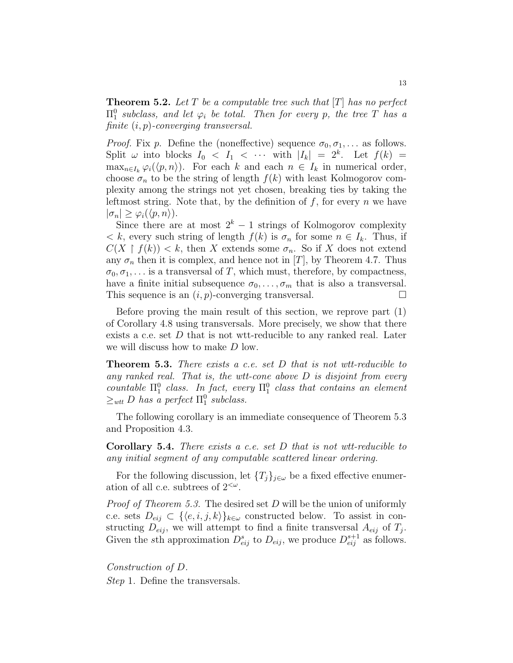**Theorem 5.2.** Let T be a computable tree such that  $[T]$  has no perfect  $\Pi_1^0$  subclass, and let  $\varphi_i$  be total. Then for every p, the tree T has a finite  $(i, p)$ -converging transversal.

*Proof.* Fix p. Define the (noneffective) sequence  $\sigma_0, \sigma_1, \ldots$  as follows. Split  $\omega$  into blocks  $I_0 < I_1 < \cdots$  with  $|I_k| = 2^k$ . Let  $f(k) =$  $\max_{n\in I_k} \varphi_i(\langle p,n\rangle)$ . For each k and each  $n \in I_k$  in numerical order, choose  $\sigma_n$  to be the string of length  $f(k)$  with least Kolmogorov complexity among the strings not yet chosen, breaking ties by taking the leftmost string. Note that, by the definition of  $f$ , for every  $n$  we have  $|\sigma_n| \geq \varphi_i(\langle p,n \rangle).$ 

Since there are at most  $2^k - 1$  strings of Kolmogorov complexity  $\langle k, \text{ every such string of length } f(k) \text{ is } \sigma_n \text{ for some } n \in I_k.$  Thus, if  $C(X \restriction f(k)) < k$ , then X extends some  $\sigma_n$ . So if X does not extend any  $\sigma_n$  then it is complex, and hence not in [T], by Theorem 4.7. Thus  $\sigma_0, \sigma_1, \ldots$  is a transversal of T, which must, therefore, by compactness, have a finite initial subsequence  $\sigma_0, \ldots, \sigma_m$  that is also a transversal. This sequence is an  $(i, p)$ -converging transversal.

Before proving the main result of this section, we reprove part (1) of Corollary 4.8 using transversals. More precisely, we show that there exists a c.e. set  $D$  that is not wtt-reducible to any ranked real. Later we will discuss how to make D low.

**Theorem 5.3.** There exists a c.e. set D that is not wit-reducible to any ranked real. That is, the wtt-cone above  $D$  is disjoint from every countable  $\Pi_1^0$  class. In fact, every  $\Pi_1^0$  class that contains an element  $\geq_{wtt} D$  has a perfect  $\Pi_1^0$  subclass.

The following corollary is an immediate consequence of Theorem 5.3 and Proposition 4.3.

Corollary 5.4. There exists a c.e. set D that is not wtt-reducible to any initial segment of any computable scattered linear ordering.

For the following discussion, let  $\{T_j\}_{j\in\omega}$  be a fixed effective enumeration of all c.e. subtrees of  $2<sup>{\omega}</sup>$ .

Proof of Theorem 5.3. The desired set D will be the union of uniformly c.e. sets  $D_{eij} \subset \{ \langle e, i, j, k \rangle \}_{k \in \omega}$  constructed below. To assist in constructing  $D_{eij}$ , we will attempt to find a finite transversal  $A_{eij}$  of  $T_j$ . Given the sth approximation  $D_{eij}^s$  to  $D_{eij}$ , we produce  $D_{eij}^{s+1}$  as follows.

Construction of D. Step 1. Define the transversals.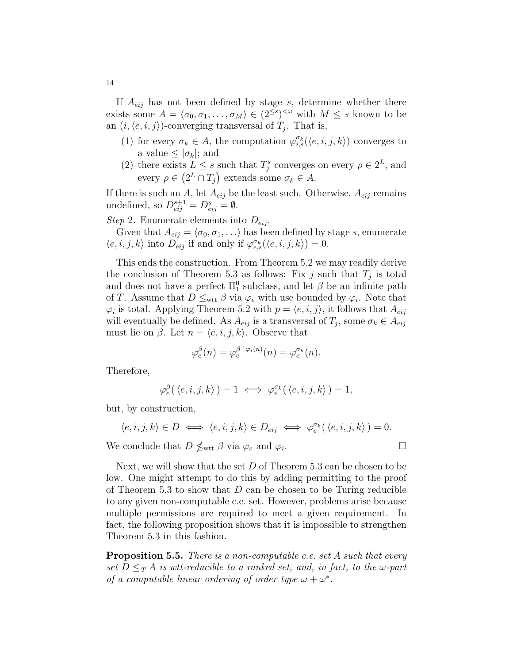If  $A_{eij}$  has not been defined by stage s, determine whether there exists some  $A = \langle \sigma_0, \sigma_1, \ldots, \sigma_M \rangle \in (2^{\leq s})^{\leq \omega}$  with  $M \leq s$  known to be an  $(i, \langle e, i, j \rangle)$ -converging transversal of  $T_j$ . That is,

- (1) for every  $\sigma_k \in A$ , the computation  $\varphi_{i,s}^{\sigma_k}(\langle e, i, j, k \rangle)$  converges to a value  $\leq |\sigma_k|$ ; and
- (2) there exists  $L \leq s$  such that  $T_j^s$  converges on every  $\rho \in 2^L$ , and every  $\rho \in (2^L \cap T_j)$  extends some  $\sigma_k \in A$ .

If there is such an A, let  $A_{eij}$  be the least such. Otherwise,  $A_{eij}$  remains undefined, so  $D_{eij}^{s+1} = D_{eij}^s = \emptyset$ .

Step 2. Enumerate elements into  $D_{eij}$ .

Given that  $A_{eij} = \langle \sigma_0, \sigma_1, \ldots \rangle$  has been defined by stage s, enumerate  $\langle e, i, j, k \rangle$  into  $D_{eij}$  if and only if  $\varphi_{e,s}^{\sigma_k}(\langle e, i, j, k \rangle) = 0$ .

This ends the construction. From Theorem 5.2 we may readily derive the conclusion of Theorem 5.3 as follows: Fix j such that  $T_j$  is total and does not have a perfect  $\Pi_1^0$  subclass, and let  $\beta$  be an infinite path of T. Assume that  $D \leq_{\text{wtt}} \beta$  via  $\varphi_e$  with use bounded by  $\varphi_i$ . Note that  $\varphi_i$  is total. Applying Theorem 5.2 with  $p = \langle e, i, j \rangle$ , it follows that  $A_{eij}$ will eventually be defined. As  $A_{eij}$  is a transversal of  $T_j$ , some  $\sigma_k \in A_{eij}$ must lie on  $\beta$ . Let  $n = \langle e, i, j, k \rangle$ . Observe that

$$
\varphi_e^{\beta}(n) = \varphi_e^{\beta \upharpoonright \varphi_i(n)}(n) = \varphi_e^{\sigma_k}(n).
$$

Therefore,

$$
\varphi_e^{\beta}(\langle e,i,j,k\rangle) = 1 \iff \varphi_e^{\sigma_k}(\langle e,i,j,k\rangle) = 1,
$$

but, by construction,

$$
\langle e,i,j,k\rangle \in D \iff \langle e,i,j,k\rangle \in D_{\text{eij}} \iff \varphi_e^{\sigma_k}(\langle e,i,j,k\rangle) = 0.
$$

We conclude that  $D \nleq_{\text{wtt}} \beta$  via  $\varphi_e$  and  $\varphi_i$ . — Первый процесс в постановки программа в серверном становки производительно становки производительно станов<br>В серверном становки производительно становки производительно становки производительно становки производительн

Next, we will show that the set  $D$  of Theorem 5.3 can be chosen to be low. One might attempt to do this by adding permitting to the proof of Theorem 5.3 to show that  $D$  can be chosen to be Turing reducible to any given non-computable c.e. set. However, problems arise because multiple permissions are required to meet a given requirement. In fact, the following proposition shows that it is impossible to strengthen Theorem 5.3 in this fashion.

**Proposition 5.5.** There is a non-computable c.e. set A such that every set  $D \leq_T A$  is wtt-reducible to a ranked set, and, in fact, to the  $\omega$ -part of a computable linear ordering of order type  $\omega + \omega^*$ .

14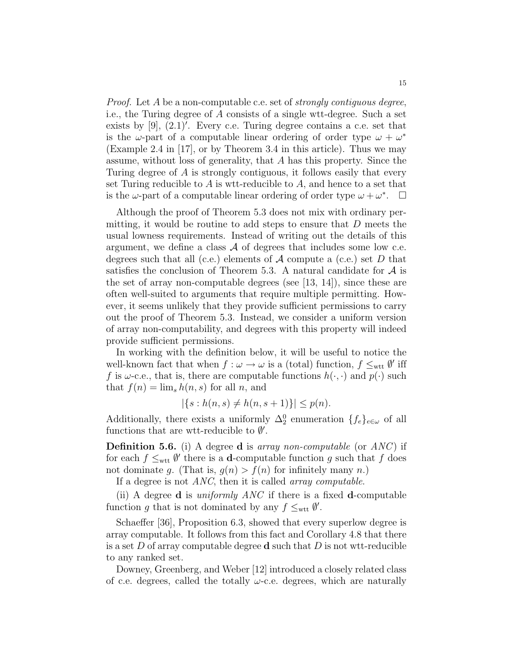Proof. Let A be a non-computable c.e. set of strongly contiguous degree, i.e., the Turing degree of A consists of a single wtt-degree. Such a set exists by  $[9]$ ,  $(2.1)'$ . Every c.e. Turing degree contains a c.e. set that is the  $\omega$ -part of a computable linear ordering of order type  $\omega + \omega^*$ (Example 2.4 in [17], or by Theorem 3.4 in this article). Thus we may assume, without loss of generality, that A has this property. Since the Turing degree of A is strongly contiguous, it follows easily that every set Turing reducible to  $A$  is wtt-reducible to  $A$ , and hence to a set that is the  $\omega$ -part of a computable linear ordering of order type  $\omega + \omega^*$ .  $\Box$ 

Although the proof of Theorem 5.3 does not mix with ordinary permitting, it would be routine to add steps to ensure that  $D$  meets the usual lowness requirements. Instead of writing out the details of this argument, we define a class  $A$  of degrees that includes some low c.e. degrees such that all (c.e.) elements of  $A$  compute a (c.e.) set D that satisfies the conclusion of Theorem 5.3. A natural candidate for  $A$  is the set of array non-computable degrees (see [13, 14]), since these are often well-suited to arguments that require multiple permitting. However, it seems unlikely that they provide sufficient permissions to carry out the proof of Theorem 5.3. Instead, we consider a uniform version of array non-computability, and degrees with this property will indeed provide sufficient permissions.

In working with the definition below, it will be useful to notice the well-known fact that when  $f: \omega \to \omega$  is a (total) function,  $f \leq_{\text{wtt}} \emptyset'$  iff f is  $\omega$ -c.e., that is, there are computable functions  $h(\cdot, \cdot)$  and  $p(\cdot)$  such that  $f(n) = \lim_{s} h(n, s)$  for all n, and

$$
|\{s : h(n, s) \neq h(n, s + 1)\}| \leq p(n).
$$

Additionally, there exists a uniformly  $\Delta_2^0$  enumeration  $\{f_e\}_{e \in \omega}$  of all functions that are wtt-reducible to  $\emptyset'$ .

**Definition 5.6.** (i) A degree **d** is array non-computable (or  $ANC$ ) if for each  $f \leq_{\text{wtt}} \emptyset'$  there is a **d**-computable function g such that f does not dominate q. (That is,  $q(n) > f(n)$  for infinitely many n.)

If a degree is not *ANC*, then it is called *array computable*.

(ii) A degree **d** is *uniformly ANC* if there is a fixed **d**-computable function g that is not dominated by any  $f \leq_{\text{wtt}} \emptyset'$ .

Schaeffer [36], Proposition 6.3, showed that every superlow degree is array computable. It follows from this fact and Corollary 4.8 that there is a set D of array computable degree  $\bf d$  such that D is not wtt-reducible to any ranked set.

Downey, Greenberg, and Weber [12] introduced a closely related class of c.e. degrees, called the totally  $\omega$ -c.e. degrees, which are naturally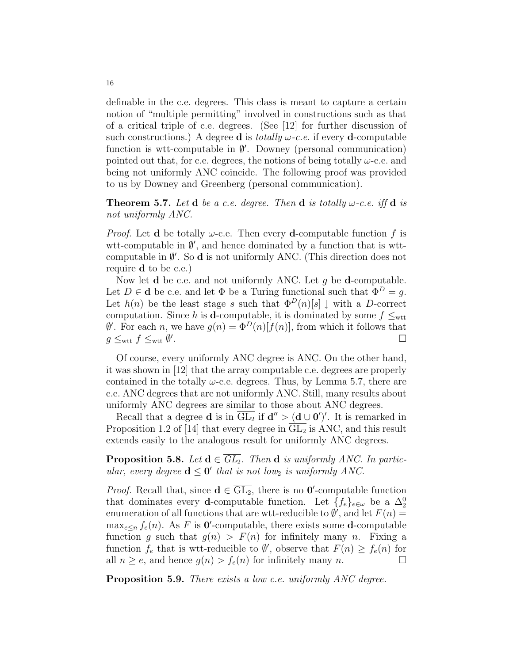definable in the c.e. degrees. This class is meant to capture a certain notion of "multiple permitting" involved in constructions such as that of a critical triple of c.e. degrees. (See [12] for further discussion of such constructions.) A degree **d** is *totally*  $\omega$ -*c.e.* if every **d**-computable function is wtt-computable in  $\emptyset'$ . Downey (personal communication) pointed out that, for c.e. degrees, the notions of being totally  $\omega$ -c.e. and being not uniformly ANC coincide. The following proof was provided to us by Downey and Greenberg (personal communication).

**Theorem 5.7.** Let **d** be a c.e. degree. Then **d** is totally  $\omega$ -c.e. iff **d** is not uniformly ANC.

*Proof.* Let **d** be totally  $\omega$ -c.e. Then every **d**-computable function f is wtt-computable in  $\emptyset'$ , and hence dominated by a function that is wttcomputable in  $\emptyset'$ . So **d** is not uniformly ANC. (This direction does not require d to be c.e.)

Now let **d** be c.e. and not uniformly ANC. Let  $q$  be **d**-computable. Let  $D \in \mathbf{d}$  be c.e. and let  $\Phi$  be a Turing functional such that  $\Phi^D = q$ . Let  $h(n)$  be the least stage s such that  $\Phi^D(n)[s] \downarrow$  with a D-correct computation. Since h is **d**-computable, it is dominated by some  $f \leq_{\text{wtt}}$  $\emptyset'$ . For each n, we have  $g(n) = \Phi^D(n)[f(n)]$ , from which it follows that  $g \leq_{\text{wtt}} f \leq_{\text{wtt}} \emptyset'$ .

Of course, every uniformly ANC degree is ANC. On the other hand, it was shown in [12] that the array computable c.e. degrees are properly contained in the totally  $\omega$ -c.e. degrees. Thus, by Lemma 5.7, there are c.e. ANC degrees that are not uniformly ANC. Still, many results about uniformly ANC degrees are similar to those about ANC degrees.

Recall that a degree **d** is in  $\overline{GL_2}$  if  $d'' > (d \cup 0')'$ . It is remarked in Proposition 1.2 of [14] that every degree in  $\overline{GL_2}$  is ANC, and this result extends easily to the analogous result for uniformly ANC degrees.

**Proposition 5.8.** Let  $d \in \overline{GL_2}$ . Then  $d$  is uniformly ANC. In particular, every degree  $d \leq 0'$  that is not low<sub>2</sub> is uniformly ANC.

*Proof.* Recall that, since  $\mathbf{d} \in \overline{GL_2}$ , there is no **0'**-computable function that dominates every **d**-computable function. Let  $\{f_e\}_{e \in \omega}$  be a  $\Delta_2^0$ enumeration of all functions that are wtt-reducible to  $\emptyset'$ , and let  $F(n) =$  $\max_{e \leq n} f_e(n)$ . As F is **0'**-computable, there exists some **d**-computable function g such that  $g(n) > F(n)$  for infinitely many n. Fixing a function  $f_e$  that is wtt-reducible to  $\emptyset'$ , observe that  $F(n) \geq f_e(n)$  for all  $n \geq e$ , and hence  $g(n) > f_e(n)$  for infinitely many n.

Proposition 5.9. There exists a low c.e. uniformly ANC degree.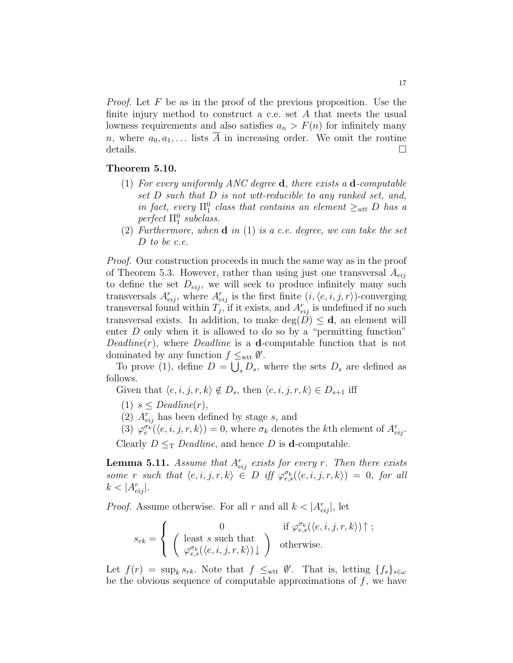*Proof.* Let  $F$  be as in the proof of the previous proposition. Use the finite injury method to construct a c.e. set A that meets the usual lowness requirements and also satisfies  $a_n > F(n)$  for infinitely many n, where  $a_0, a_1, \ldots$  lists  $\overline{A}$  in increasing order. We omit the routine details.

#### Theorem 5.10.

- (1) For every uniformly ANC degree  $\bf d$ , there exists a  $\bf d$ -computable set D such that D is not wtt-reducible to any ranked set, and, in fact, every  $\Pi_1^0$  class that contains an element  $\geq_{wtt} D$  has a perfect  $\Pi_1^0$  subclass.
- (2) Furthermore, when  $\mathbf d$  in (1) is a c.e. degree, we can take the set D to be c.e.

Proof. Our construction proceeds in much the same way as in the proof of Theorem 5.3. However, rather than using just one transversal  $A_{eij}$ to define the set  $D_{eij}$ , we will seek to produce infinitely many such transversals  $A_{eij}^r$ , where  $A_{eij}^r$  is the first finite  $(i, \langle e, i, j, r \rangle)$ -converging transversal found within  $T_j$ , if it exists, and  $A_{eij}^r$  is undefined if no such transversal exists. In addition, to make  $deg(D) \leq d$ , an element will enter D only when it is allowed to do so by a "permitting function"  $Deadline(r)$ , where *Deadline* is a **d**-computable function that is not dominated by any function  $f \leq_{\text{wtt}} \emptyset'$ .

To prove (1), define  $D = \bigcup_{s} D_s$ , where the sets  $D_s$  are defined as follows.

Given that  $\langle e, i, j, r, k \rangle \notin D_s$ , then  $\langle e, i, j, r, k \rangle \in D_{s+1}$  iff

- (1)  $s \leq$  Deadline(r),
- (2)  $A_{eij}^r$  has been defined by stage s, and

(3)  $\varphi_e^{\sigma_k}(\langle e,i,j,r,k\rangle) = 0$ , where  $\sigma_k$  denotes the kth element of  $A_{eij}^r$ .

Clearly  $D \leq_T D$ eadline, and hence D is **d**-computable.

**Lemma 5.11.** Assume that  $A_{eij}^r$  exists for every r. Then there exists some r such that  $\langle e, i, j, r, k \rangle \in D$  iff  $\varphi_{e,s}^{\sigma_k}(\langle e, i, j, r, k \rangle) = 0$ , for all  $k < |A_{eij}^r|.$ 

*Proof.* Assume otherwise. For all r and all  $k < |A_{eij}^r|$ , let

$$
s_{rk} = \left\{ \begin{array}{cl} 0 & \text{if } \varphi_{e,s}^{\sigma_k}(\langle e,i,j,r,k\rangle) \uparrow \, ; \\ \left( \begin{array}{c} \text{least } s \text{ such that} \\ \varphi_{e,s}^{\sigma_k}(\langle e,i,j,r,k\rangle) \downarrow \end{array} \right) & \text{otherwise.} \end{array} \right.
$$

Let  $f(r) = \sup_k s_{rk}$ . Note that  $f \leq_{\text{wtt}} \emptyset'$ . That is, letting  $\{f_s\}_{s \in \omega}$ be the obvious sequence of computable approximations of  $f$ , we have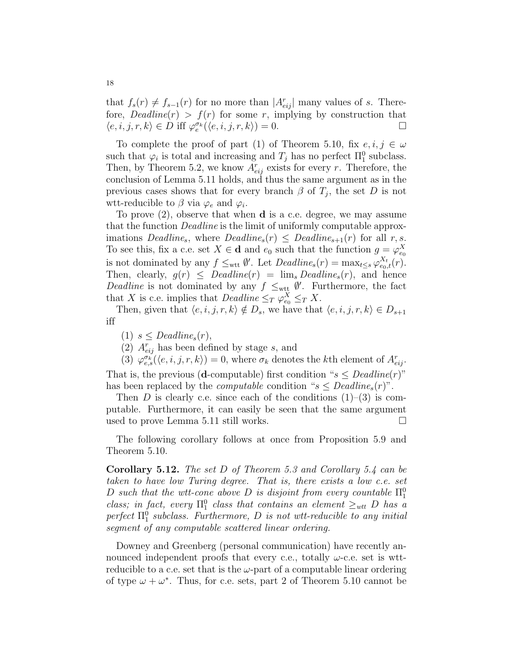that  $f_s(r) \neq f_{s-1}(r)$  for no more than  $|A_{eij}^r|$  many values of s. Therefore,  $Deadline(r) > f(r)$  for some r, implying by construction that  $\langle e, i, j, r, k \rangle \in D \text{ iff } \varphi_{e}^{\sigma_k}(\langle e, i, j, r, k \rangle) = 0.$ 

To complete the proof of part (1) of Theorem 5.10, fix  $e, i, j \in \omega$ such that  $\varphi_i$  is total and increasing and  $T_j$  has no perfect  $\Pi_1^0$  subclass. Then, by Theorem 5.2, we know  $A_{eij}^r$  exists for every r. Therefore, the conclusion of Lemma 5.11 holds, and thus the same argument as in the previous cases shows that for every branch  $\beta$  of  $T_j$ , the set D is not wtt-reducible to  $\beta$  via  $\varphi_e$  and  $\varphi_i$ .

To prove (2), observe that when d is a c.e. degree, we may assume that the function Deadline is the limit of uniformly computable approximations Deadline<sub>s</sub>, where  $Deadline_s(r) \leq Deadline_{s+1}(r)$  for all r, s. To see this, fix a c.e. set  $X \in \mathbf{d}$  and  $e_0$  such that the function  $g = \varphi_{e_0}^X$ is not dominated by any  $f \leq_{\text{wtt}} \emptyset'$ . Let  $\text{Deadline}_s(r) = \max_{t \leq s} \varphi_{e_0,t}^{X_t}(r)$ . Then, clearly,  $g(r) \leq$  Deadline(r) =  $\lim_{s}$  Deadline<sub>s</sub>(r), and hence Deadline is not dominated by any  $f \leq_{\text{wtt}} \emptyset'$ . Furthermore, the fact that X is c.e. implies that  $Deadline \leq_T \varphi_{e_0}^X \leq_T X$ .

Then, given that  $\langle e, i, j, r, k \rangle \notin D_s$ , we have that  $\langle e, i, j, r, k \rangle \in D_{s+1}$ iff

(1)  $s \leq$  Deadline<sub>s</sub> $(r)$ ,

(2)  $A_{eij}^r$  has been defined by stage s, and

(3)  $\varphi_{e,s}^{\sigma_k}(\langle e,i,j,r,k\rangle) = 0$ , where  $\sigma_k$  denotes the kth element of  $A_{eij}^r$ .

That is, the previous (**d**-computable) first condition " $s \leq$  Deadline(r)" has been replaced by the *computable* condition " $s \leq$  Deadline<sub>s</sub> $(r)$ ".

Then D is clearly c.e. since each of the conditions  $(1)$ – $(3)$  is computable. Furthermore, it can easily be seen that the same argument used to prove Lemma 5.11 still works.  $\Box$ 

The following corollary follows at once from Proposition 5.9 and Theorem 5.10.

Corollary 5.12. The set D of Theorem 5.3 and Corollary 5.4 can be taken to have low Turing degree. That is, there exists a low c.e. set D such that the wtt-cone above D is disjoint from every countable  $\Pi_1^0$ class; in fact, every  $\Pi_1^0$  class that contains an element  $\geq_{wtt} D$  has a perfect  $\Pi_1^0$  subclass. Furthermore, D is not wtt-reducible to any initial segment of any computable scattered linear ordering.

Downey and Greenberg (personal communication) have recently announced independent proofs that every c.e., totally  $\omega$ -c.e. set is wttreducible to a c.e. set that is the  $\omega$ -part of a computable linear ordering of type  $\omega + \omega^*$ . Thus, for c.e. sets, part 2 of Theorem 5.10 cannot be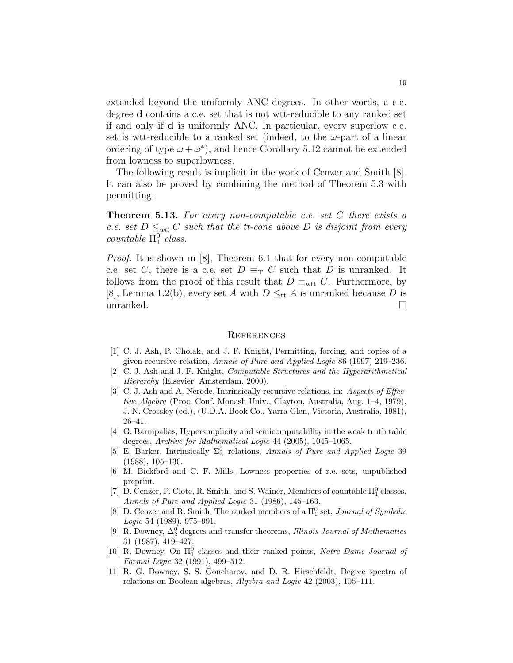extended beyond the uniformly ANC degrees. In other words, a c.e. degree d contains a c.e. set that is not wtt-reducible to any ranked set if and only if d is uniformly ANC. In particular, every superlow c.e. set is wtt-reducible to a ranked set (indeed, to the  $\omega$ -part of a linear ordering of type  $\omega + \omega^*$ , and hence Corollary 5.12 cannot be extended from lowness to superlowness.

The following result is implicit in the work of Cenzer and Smith [8]. It can also be proved by combining the method of Theorem 5.3 with permitting.

**Theorem 5.13.** For every non-computable c.e. set  $C$  there exists a c.e. set  $D \leq_{wtt} C$  such that the tt-cone above D is disjoint from every  $countable \Pi_1^0 \text{ class.}$ 

Proof. It is shown in [8], Theorem 6.1 that for every non-computable c.e. set C, there is a c.e. set  $D \equiv_\text{T} C$  such that D is unranked. It follows from the proof of this result that  $D \equiv_{\text{wtt}} C$ . Furthermore, by [8], Lemma 1.2(b), every set A with  $D \leq_{\text{tt}} A$  is unranked because D is unranked.  $\square$ 

#### **REFERENCES**

- [1] C. J. Ash, P. Cholak, and J. F. Knight, Permitting, forcing, and copies of a given recursive relation, Annals of Pure and Applied Logic 86 (1997) 219–236.
- [2] C. J. Ash and J. F. Knight, Computable Structures and the Hyperarithmetical Hierarchy (Elsevier, Amsterdam, 2000).
- [3] C. J. Ash and A. Nerode, Intrinsically recursive relations, in: Aspects of Effective Algebra (Proc. Conf. Monash Univ., Clayton, Australia, Aug. 1–4, 1979), J. N. Crossley (ed.), (U.D.A. Book Co., Yarra Glen, Victoria, Australia, 1981), 26–41.
- [4] G. Barmpalias, Hypersimplicity and semicomputability in the weak truth table degrees, Archive for Mathematical Logic 44 (2005), 1045–1065.
- [5] E. Barker, Intrinsically  $\Sigma^0_\alpha$  relations, Annals of Pure and Applied Logic 39 (1988), 105–130.
- [6] M. Bickford and C. F. Mills, Lowness properties of r.e. sets, unpublished preprint.
- [7] D. Cenzer, P. Clote, R. Smith, and S. Wainer, Members of countable  $\Pi^0_1$  classes, Annals of Pure and Applied Logic 31 (1986), 145–163.
- [8] D. Cenzer and R. Smith, The ranked members of a  $\Pi_1^0$  set, *Journal of Symbolic* Logic 54 (1989), 975–991.
- [9] R. Downey,  $\Delta_2^0$  degrees and transfer theorems, *Illinois Journal of Mathematics* 31 (1987), 419–427.
- [10] R. Downey, On  $\Pi_1^0$  classes and their ranked points, Notre Dame Journal of Formal Logic 32 (1991), 499–512.
- [11] R. G. Downey, S. S. Goncharov, and D. R. Hirschfeldt, Degree spectra of relations on Boolean algebras, Algebra and Logic 42 (2003), 105–111.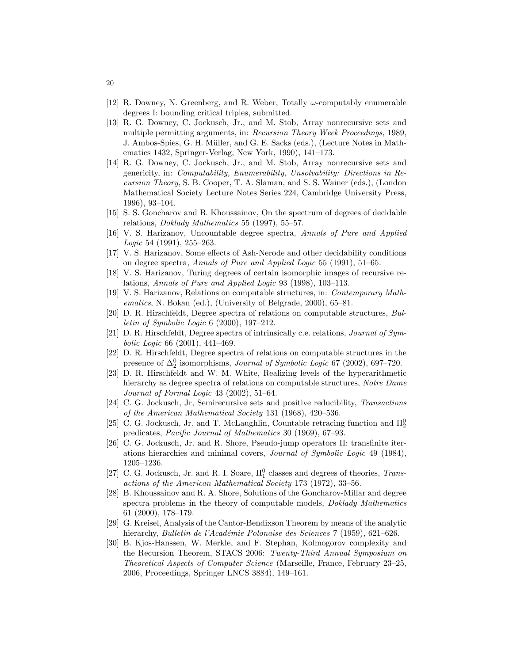- [12] R. Downey, N. Greenberg, and R. Weber, Totally  $\omega$ -computably enumerable degrees I: bounding critical triples, submitted.
- [13] R. G. Downey, C. Jockusch, Jr., and M. Stob, Array nonrecursive sets and multiple permitting arguments, in: Recursion Theory Week Proceedings, 1989, J. Ambos-Spies, G. H. Müller, and G. E. Sacks (eds.), (Lecture Notes in Mathematics 1432, Springer-Verlag, New York, 1990), 141–173.
- [14] R. G. Downey, C. Jockusch, Jr., and M. Stob, Array nonrecursive sets and genericity, in: Computability, Enumerability, Unsolvability: Directions in Recursion Theory, S. B. Cooper, T. A. Slaman, and S. S. Wainer (eds.), (London Mathematical Society Lecture Notes Series 224, Cambridge University Press, 1996), 93–104.
- [15] S. S. Goncharov and B. Khoussainov, On the spectrum of degrees of decidable relations, Doklady Mathematics 55 (1997), 55–57.
- [16] V. S. Harizanov, Uncountable degree spectra, Annals of Pure and Applied Logic 54 (1991), 255–263.
- [17] V. S. Harizanov, Some effects of Ash-Nerode and other decidability conditions on degree spectra, Annals of Pure and Applied Logic 55 (1991), 51–65.
- [18] V. S. Harizanov, Turing degrees of certain isomorphic images of recursive relations, Annals of Pure and Applied Logic 93 (1998), 103–113.
- [19] V. S. Harizanov, Relations on computable structures, in: Contemporary Mathematics, N. Bokan (ed.), (University of Belgrade, 2000), 65–81.
- [20] D. R. Hirschfeldt, Degree spectra of relations on computable structures, Bulletin of Symbolic Logic 6 (2000), 197–212.
- [21] D. R. Hirschfeldt, Degree spectra of intrinsically c.e. relations, Journal of Symbolic Logic 66 (2001), 441–469.
- [22] D. R. Hirschfeldt, Degree spectra of relations on computable structures in the presence of  $\Delta_2^0$  isomorphisms, *Journal of Symbolic Logic* 67 (2002), 697–720.
- [23] D. R. Hirschfeldt and W. M. White, Realizing levels of the hyperarithmetic hierarchy as degree spectra of relations on computable structures, Notre Dame Journal of Formal Logic 43 (2002), 51–64.
- [24] C. G. Jockusch, Jr, Semirecursive sets and positive reducibility, Transactions of the American Mathematical Society 131 (1968), 420–536.
- [25] C. G. Jockusch, Jr. and T. McLaughlin, Countable retracing function and  $\Pi_2^0$ predicates, Pacific Journal of Mathematics 30 (1969), 67–93.
- [26] C. G. Jockusch, Jr. and R. Shore, Pseudo-jump operators II: transfinite iterations hierarchies and minimal covers, Journal of Symbolic Logic 49 (1984), 1205–1236.
- [27] C. G. Jockusch, Jr. and R. I. Soare,  $\Pi_1^0$  classes and degrees of theories, Transactions of the American Mathematical Society 173 (1972), 33–56.
- [28] B. Khoussainov and R. A. Shore, Solutions of the Goncharov-Millar and degree spectra problems in the theory of computable models, *Doklady Mathematics* 61 (2000), 178–179.
- [29] G. Kreisel, Analysis of the Cantor-Bendixson Theorem by means of the analytic hierarchy, Bulletin de l'Académie Polonaise des Sciences 7 (1959), 621-626.
- [30] B. Kjos-Hanssen, W. Merkle, and F. Stephan, Kolmogorov complexity and the Recursion Theorem, STACS 2006: Twenty-Third Annual Symposium on Theoretical Aspects of Computer Science (Marseille, France, February 23–25, 2006, Proceedings, Springer LNCS 3884), 149–161.

20